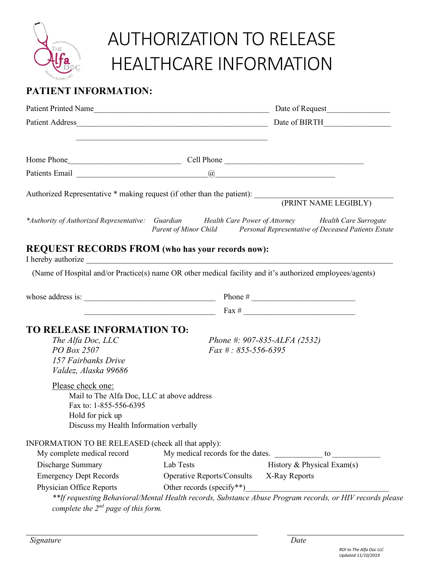

*Signature Date*